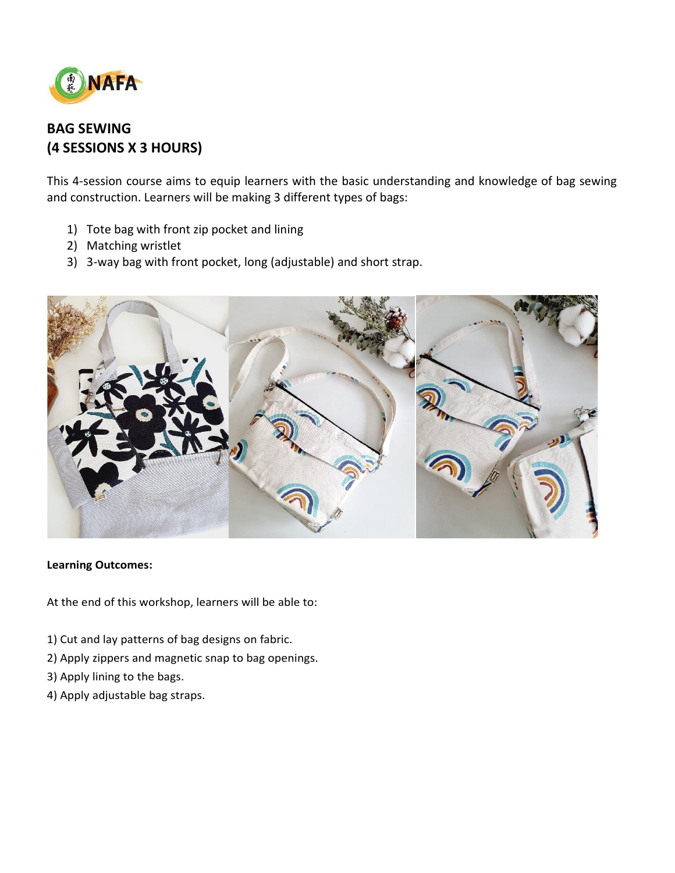

# **BAG SEWING (4 SESSIONS X 3 HOURS)**

This 4-session course aims to equip learners with the basic understanding and knowledge of bag sewing and construction. Learners will be making 3 different types of bags:

- 1) Tote bag with front zip pocket and lining
- 2) Matching wristlet
- 3) 3-way bag with front pocket, long (adjustable) and short strap.



#### **Learning Outcomes:**

At the end of this workshop, learners will be able to:

- 1) Cut and lay patterns of bag designs on fabric.
- 2) Apply zippers and magnetic snap to bag openings.
- 3) Apply lining to the bags.
- 4) Apply adjustable bag straps.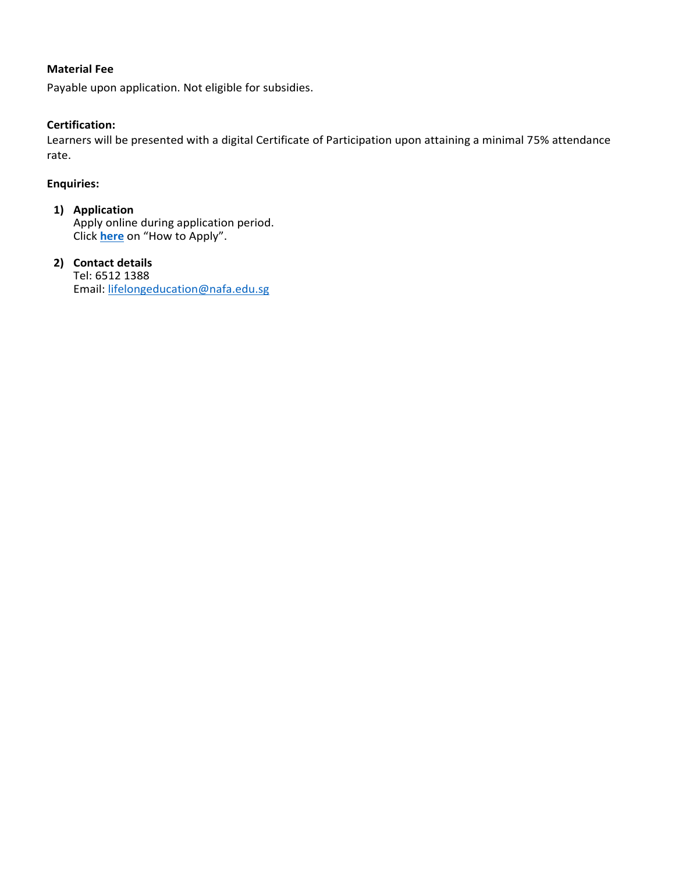### **Material Fee**

Payable upon application. Not eligible for subsidies.

## **Certification:**

Learners will be presented with a digital Certificate of Participation upon attaining a minimal 75% attendance rate.

#### **Enquiries:**

- **1) Application** Apply online during application period. Click **[here](https://www.nafa.edu.sg/courses/part-time/short-courses#collapseFive)** on "How to Apply".
- **2) Contact details** Tel: 6512 1388 Email: [lifelongeducation@nafa.edu.sg](mailto:lifelongeducation@nafa.edu.sg)